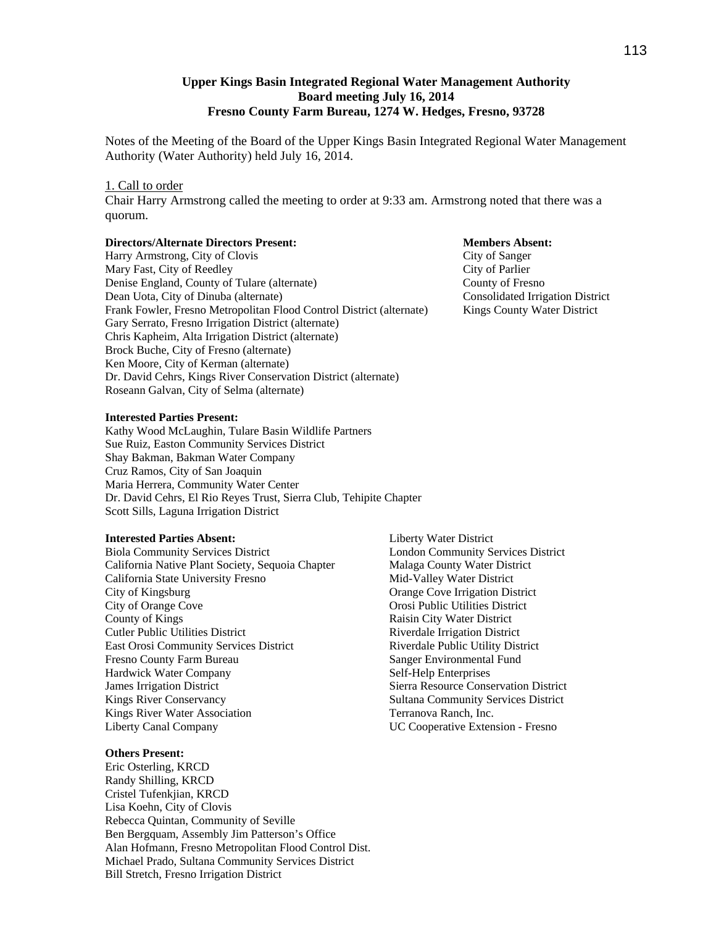# **Upper Kings Basin Integrated Regional Water Management Authority Board meeting July 16, 2014 Fresno County Farm Bureau, 1274 W. Hedges, Fresno, 93728**

Notes of the Meeting of the Board of the Upper Kings Basin Integrated Regional Water Management Authority (Water Authority) held July 16, 2014.

## 1. Call to order

Chair Harry Armstrong called the meeting to order at 9:33 am. Armstrong noted that there was a quorum.

#### **Directors/Alternate Directors Present: Members Absent:**

Harry Armstrong, City of Clovis City of Sanger Mary Fast, City of Reedley City of Parlier Denise England, County of Tulare (alternate) County of Fresno Dean Uota, City of Dinuba (alternate) Consolidated Irrigation District Frank Fowler, Fresno Metropolitan Flood Control District (alternate) Kings County Water District Gary Serrato, Fresno Irrigation District (alternate) Chris Kapheim, Alta Irrigation District (alternate) Brock Buche, City of Fresno (alternate) Ken Moore, City of Kerman (alternate) Dr. David Cehrs, Kings River Conservation District (alternate) Roseann Galvan, City of Selma (alternate)

### **Interested Parties Present:**

Kathy Wood McLaughin, Tulare Basin Wildlife Partners Sue Ruiz, Easton Community Services District Shay Bakman, Bakman Water Company Cruz Ramos, City of San Joaquin Maria Herrera, Community Water Center Dr. David Cehrs, El Rio Reyes Trust, Sierra Club, Tehipite Chapter Scott Sills, Laguna Irrigation District

#### **Interested Parties Absent:**

Biola Community Services District California Native Plant Society, Sequoia Chapter California State University Fresno City of Kingsburg City of Orange Cove County of Kings Cutler Public Utilities District East Orosi Community Services District Fresno County Farm Bureau Hardwick Water Company James Irrigation District Kings River Conservancy Kings River Water Association Liberty Canal Company

### **Others Present:**

Eric Osterling, KRCD Randy Shilling, KRCD Cristel Tufenkjian, KRCD Lisa Koehn, City of Clovis Rebecca Quintan, Community of Seville Ben Bergquam, Assembly Jim Patterson's Office Alan Hofmann, Fresno Metropolitan Flood Control Dist. Michael Prado, Sultana Community Services District Bill Stretch, Fresno Irrigation District

Liberty Water District London Community Services District Malaga County Water District Mid-Valley Water District Orange Cove Irrigation District Orosi Public Utilities District Raisin City Water District Riverdale Irrigation District Riverdale Public Utility District Sanger Environmental Fund Self-Help Enterprises Sierra Resource Conservation District Sultana Community Services District Terranova Ranch, Inc. UC Cooperative Extension - Fresno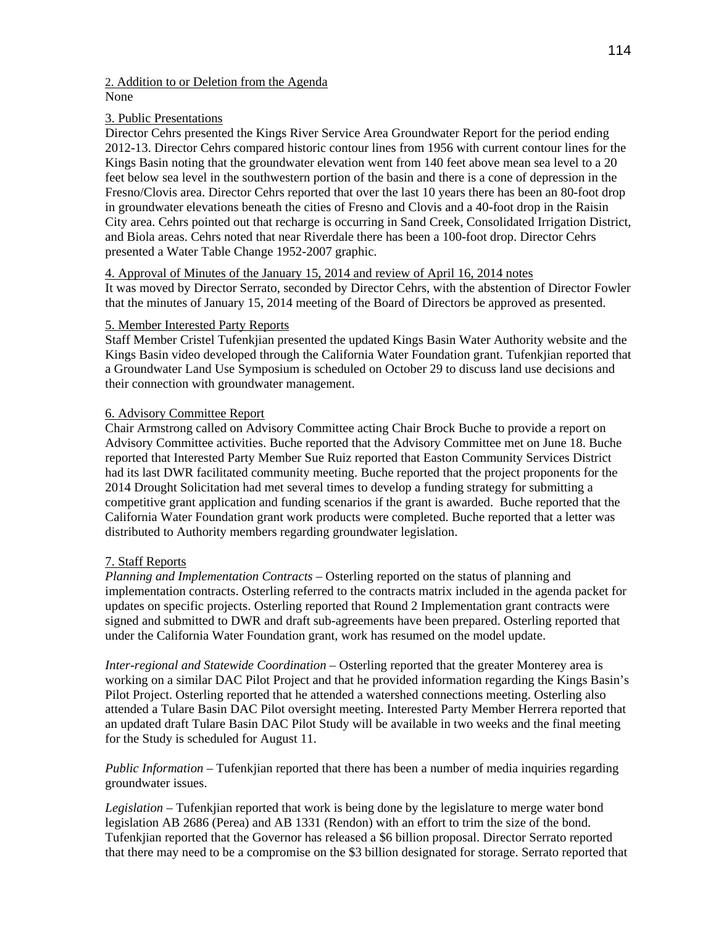## 2. Addition to or Deletion from the Agenda None

# 3. Public Presentations

Director Cehrs presented the Kings River Service Area Groundwater Report for the period ending 2012-13. Director Cehrs compared historic contour lines from 1956 with current contour lines for the Kings Basin noting that the groundwater elevation went from 140 feet above mean sea level to a 20 feet below sea level in the southwestern portion of the basin and there is a cone of depression in the Fresno/Clovis area. Director Cehrs reported that over the last 10 years there has been an 80-foot drop in groundwater elevations beneath the cities of Fresno and Clovis and a 40-foot drop in the Raisin City area. Cehrs pointed out that recharge is occurring in Sand Creek, Consolidated Irrigation District, and Biola areas. Cehrs noted that near Riverdale there has been a 100-foot drop. Director Cehrs presented a Water Table Change 1952-2007 graphic.

# 4. Approval of Minutes of the January 15, 2014 and review of April 16, 2014 notes It was moved by Director Serrato, seconded by Director Cehrs, with the abstention of Director Fowler

that the minutes of January 15, 2014 meeting of the Board of Directors be approved as presented.

# 5. Member Interested Party Reports

Staff Member Cristel Tufenkjian presented the updated Kings Basin Water Authority website and the Kings Basin video developed through the California Water Foundation grant. Tufenkjian reported that a Groundwater Land Use Symposium is scheduled on October 29 to discuss land use decisions and their connection with groundwater management.

# 6. Advisory Committee Report

Chair Armstrong called on Advisory Committee acting Chair Brock Buche to provide a report on Advisory Committee activities. Buche reported that the Advisory Committee met on June 18. Buche reported that Interested Party Member Sue Ruiz reported that Easton Community Services District had its last DWR facilitated community meeting. Buche reported that the project proponents for the 2014 Drought Solicitation had met several times to develop a funding strategy for submitting a competitive grant application and funding scenarios if the grant is awarded. Buche reported that the California Water Foundation grant work products were completed. Buche reported that a letter was distributed to Authority members regarding groundwater legislation.

# 7. Staff Reports

*Planning and Implementation Contracts* – Osterling reported on the status of planning and implementation contracts. Osterling referred to the contracts matrix included in the agenda packet for updates on specific projects. Osterling reported that Round 2 Implementation grant contracts were signed and submitted to DWR and draft sub-agreements have been prepared. Osterling reported that under the California Water Foundation grant, work has resumed on the model update.

*Inter-regional and Statewide Coordination* – Osterling reported that the greater Monterey area is working on a similar DAC Pilot Project and that he provided information regarding the Kings Basin's Pilot Project. Osterling reported that he attended a watershed connections meeting. Osterling also attended a Tulare Basin DAC Pilot oversight meeting. Interested Party Member Herrera reported that an updated draft Tulare Basin DAC Pilot Study will be available in two weeks and the final meeting for the Study is scheduled for August 11.

*Public Information* – Tufenkjian reported that there has been a number of media inquiries regarding groundwater issues.

*Legislation –* Tufenkjian reported that work is being done by the legislature to merge water bond legislation AB 2686 (Perea) and AB 1331 (Rendon) with an effort to trim the size of the bond. Tufenkjian reported that the Governor has released a \$6 billion proposal. Director Serrato reported that there may need to be a compromise on the \$3 billion designated for storage. Serrato reported that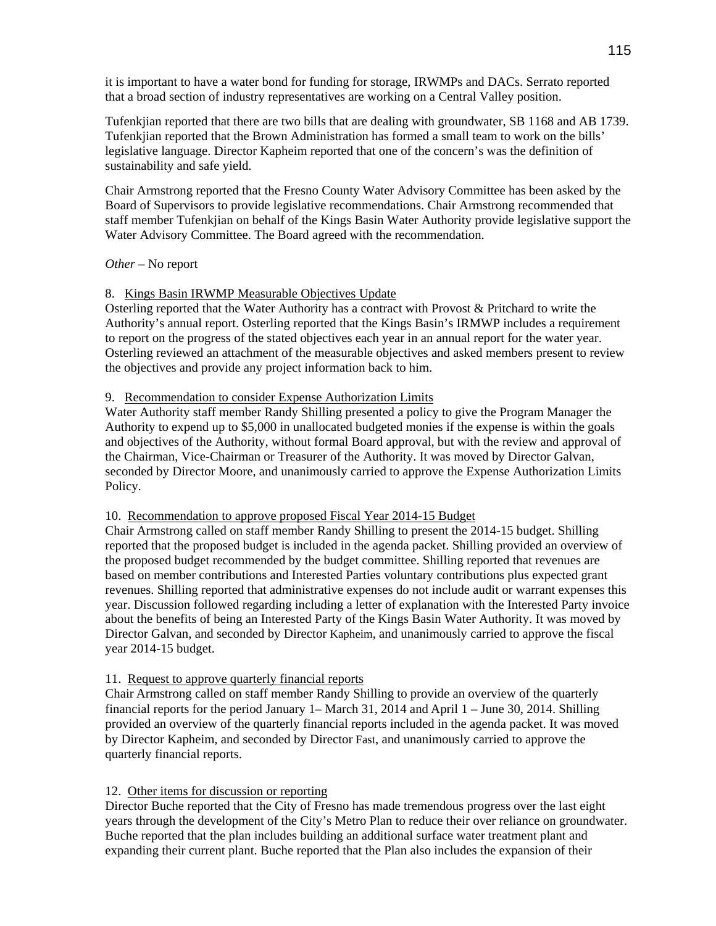it is important to have a water bond for funding for storage, IRWMPs and DACs. Serrato reported that a broad section of industry representatives are working on a Central Valley position.

Tufenkjian reported that there are two bills that are dealing with groundwater, SB 1168 and AB 1739. Tufenkjian reported that the Brown Administration has formed a small team to work on the bills' legislative language. Director Kapheim reported that one of the concern's was the definition of sustainability and safe yield.

Chair Armstrong reported that the Fresno County Water Advisory Committee has been asked by the Board of Supervisors to provide legislative recommendations. Chair Armstrong recommended that staff member Tufenkjian on behalf of the Kings Basin Water Authority provide legislative support the Water Advisory Committee. The Board agreed with the recommendation.

# *Other –* No report

# 8. Kings Basin IRWMP Measurable Objectives Update

Osterling reported that the Water Authority has a contract with Provost & Pritchard to write the Authority's annual report. Osterling reported that the Kings Basin's IRMWP includes a requirement to report on the progress of the stated objectives each year in an annual report for the water year. Osterling reviewed an attachment of the measurable objectives and asked members present to review the objectives and provide any project information back to him.

## 9. Recommendation to consider Expense Authorization Limits

Water Authority staff member Randy Shilling presented a policy to give the Program Manager the Authority to expend up to \$5,000 in unallocated budgeted monies if the expense is within the goals and objectives of the Authority, without formal Board approval, but with the review and approval of the Chairman, Vice-Chairman or Treasurer of the Authority. It was moved by Director Galvan, seconded by Director Moore, and unanimously carried to approve the Expense Authorization Limits Policy.

## 10. Recommendation to approve proposed Fiscal Year 2014-15 Budget

Chair Armstrong called on staff member Randy Shilling to present the 2014-15 budget. Shilling reported that the proposed budget is included in the agenda packet. Shilling provided an overview of the proposed budget recommended by the budget committee. Shilling reported that revenues are based on member contributions and Interested Parties voluntary contributions plus expected grant revenues. Shilling reported that administrative expenses do not include audit or warrant expenses this year. Discussion followed regarding including a letter of explanation with the Interested Party invoice about the benefits of being an Interested Party of the Kings Basin Water Authority. It was moved by Director Galvan, and seconded by Director Kapheim, and unanimously carried to approve the fiscal year 2014-15 budget.

# 11. Request to approve quarterly financial reports

Chair Armstrong called on staff member Randy Shilling to provide an overview of the quarterly financial reports for the period January 1– March 31, 2014 and April 1 – June 30, 2014. Shilling provided an overview of the quarterly financial reports included in the agenda packet. It was moved by Director Kapheim, and seconded by Director Fast, and unanimously carried to approve the quarterly financial reports.

# 12. Other items for discussion or reporting

Director Buche reported that the City of Fresno has made tremendous progress over the last eight years through the development of the City's Metro Plan to reduce their over reliance on groundwater. Buche reported that the plan includes building an additional surface water treatment plant and expanding their current plant. Buche reported that the Plan also includes the expansion of their